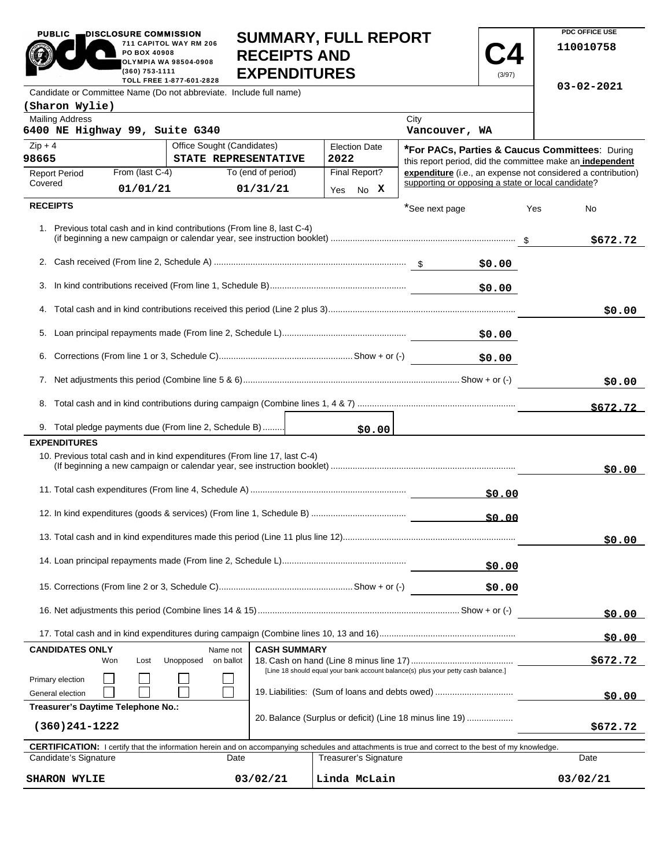|                                                          | PO BOX 40908<br>OLYMPIA WA 98504-0908<br>(360) 753-1111 | 711 CAPITOL WAY RM 206<br>TOLL FREE 1-877-601-2828                        | <b>RECEIPTS AND</b><br><b>EXPENDITURES</b> | SUMMARY, FULL REPORT                                                              |                       | (3/97) | 110010758                                                    |
|----------------------------------------------------------|---------------------------------------------------------|---------------------------------------------------------------------------|--------------------------------------------|-----------------------------------------------------------------------------------|-----------------------|--------|--------------------------------------------------------------|
|                                                          |                                                         | Candidate or Committee Name (Do not abbreviate. Include full name)        |                                            |                                                                                   |                       |        | 03-02-2021                                                   |
| (Sharon Wylie)                                           |                                                         |                                                                           |                                            |                                                                                   |                       |        |                                                              |
| <b>Mailing Address</b><br>6400 NE Highway 99, Suite G340 |                                                         |                                                                           |                                            |                                                                                   | City<br>Vancouver, WA |        |                                                              |
| $Zip + 4$                                                | Office Sought (Candidates)<br><b>Election Date</b>      |                                                                           |                                            |                                                                                   |                       |        | *For PACs, Parties & Caucus Committees: During               |
| 98665                                                    |                                                         | STATE REPRESENTATIVE                                                      |                                            | 2022                                                                              |                       |        | this report period, did the committee make an independent    |
| <b>Report Period</b>                                     | From (last C-4)                                         |                                                                           | To (end of period)                         | Final Report?                                                                     |                       |        | expenditure (i.e., an expense not considered a contribution) |
| Covered                                                  | 01/01/21                                                |                                                                           | 01/31/21                                   | Yes No X                                                                          |                       |        | supporting or opposing a state or local candidate?           |
| <b>RECEIPTS</b>                                          |                                                         |                                                                           |                                            |                                                                                   | *See next page        |        | Yes<br>No                                                    |
|                                                          |                                                         | 1. Previous total cash and in kind contributions (From line 8, last C-4)  |                                            |                                                                                   |                       |        | \$672.72                                                     |
|                                                          |                                                         |                                                                           |                                            |                                                                                   |                       | \$0.00 |                                                              |
|                                                          |                                                         |                                                                           |                                            |                                                                                   |                       | \$0.00 |                                                              |
|                                                          |                                                         |                                                                           |                                            |                                                                                   |                       |        | \$0.00                                                       |
|                                                          |                                                         |                                                                           |                                            |                                                                                   |                       | \$0.00 |                                                              |
| 6.                                                       |                                                         |                                                                           |                                            |                                                                                   |                       | \$0.00 |                                                              |
|                                                          |                                                         |                                                                           |                                            |                                                                                   |                       |        | \$0.00                                                       |
|                                                          |                                                         |                                                                           |                                            |                                                                                   |                       |        | \$672.72                                                     |
|                                                          |                                                         | 9. Total pledge payments due (From line 2, Schedule B)                    |                                            | \$0.00                                                                            |                       |        |                                                              |
| <b>EXPENDITURES</b>                                      |                                                         |                                                                           |                                            |                                                                                   |                       |        |                                                              |
|                                                          |                                                         | 10. Previous total cash and in kind expenditures (From line 17, last C-4) |                                            |                                                                                   |                       |        | \$0.00                                                       |
|                                                          |                                                         |                                                                           |                                            |                                                                                   |                       | \$0.00 |                                                              |
|                                                          |                                                         |                                                                           |                                            |                                                                                   |                       | 50.00  |                                                              |
|                                                          |                                                         |                                                                           |                                            |                                                                                   |                       |        | \$0.00                                                       |
|                                                          |                                                         |                                                                           |                                            |                                                                                   |                       | \$0.00 |                                                              |
|                                                          |                                                         |                                                                           |                                            |                                                                                   | \$0.00                |        |                                                              |
|                                                          |                                                         |                                                                           |                                            |                                                                                   |                       |        | \$0.00                                                       |
|                                                          |                                                         |                                                                           |                                            |                                                                                   |                       |        | \$0.00                                                       |
| <b>CANDIDATES ONLY</b>                                   | Won<br>Lost                                             | Name not<br>on ballot<br>Unopposed                                        | <b>CASH SUMMARY</b>                        | [Line 18 should equal your bank account balance(s) plus your petty cash balance.] |                       |        | \$672.72                                                     |
| Primary election<br>General election                     |                                                         |                                                                           |                                            | 19. Liabilities: (Sum of loans and debts owed)                                    |                       |        | \$0.00                                                       |
| Treasurer's Daytime Telephone No.:                       |                                                         |                                                                           |                                            |                                                                                   |                       |        |                                                              |
| $(360)241 - 1222$                                        |                                                         |                                                                           |                                            | 20. Balance (Surplus or deficit) (Line 18 minus line 19)                          |                       |        | \$672.72                                                     |

**SUMMARY, FULL REPORT** 

**PDC OFFICE USE** 

PUBLIC **DISCLOSURE COMMISSION** 

|                       | <b>CERTIFICATION:</b> I certify that the information herein and on accompanying schedules and attachments is true and correct to the best of my knowledge. |                       |          |  |  |
|-----------------------|------------------------------------------------------------------------------------------------------------------------------------------------------------|-----------------------|----------|--|--|
| Candidate's Signature | Date                                                                                                                                                       | Treasurer's Signature | Date     |  |  |
| <b>SHARON WYLIE</b>   | 03/02/21                                                                                                                                                   | Linda McLain          | 03/02/21 |  |  |